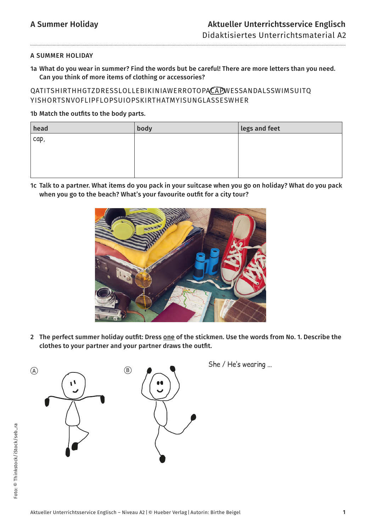### A SUMMER HOLIDAY

......................................

1a What do you wear in summer? Find the words but be careful! There are more letters than you need. Can you think of more items of clothing or accessories?

## QATITSHIRTHHGTZDRESSLOLLEBIKINIAWERROTOPACAPWESSANDALSSWIMSUITQ YISHORTSNVOFLIPFLOPSUIOPSKIRTHATMYISUNGLASSESWHER

### 1b Match the outfits to the body parts.

| head                 | body | legs and feet |
|----------------------|------|---------------|
| $^{\mathsf{t}}$ cap, |      |               |
|                      |      |               |
|                      |      |               |
|                      |      |               |

1c Talk to a partner. What items do you pack in your suitcase when you go on holiday? What do you pack when you go to the beach? What's your favourite outfit for a city tour?



2 The perfect summer holiday outfit: Dress one of the stickmen. Use the words from No. 1. Describe the clothes to your partner and your partner draws the outfit.

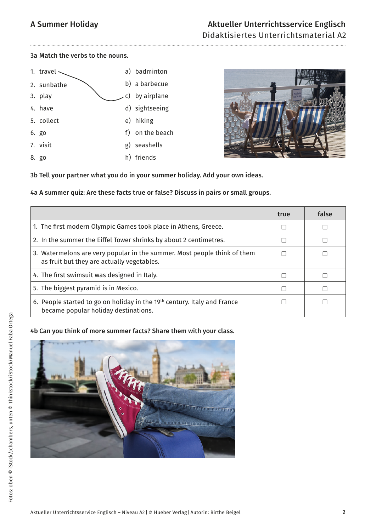### 3a Match the verbs to the nouns.

| 1. travel   |    | a) badminton    |
|-------------|----|-----------------|
| 2. sunbathe |    | b) a barbecue   |
| 3. play     |    | c) by airplane  |
| 4. have     |    | d) sightseeing  |
| 5. collect  |    | e) hiking       |
| 6. go       |    | f) on the beach |
| 7. visit    | g) | seashells       |
| 8. go       |    | h) friends      |



3b Tell your partner what you do in your summer holiday. Add your own ideas.

## 4a A summer quiz: Are these facts true or false? Discuss in pairs or small groups.

|                                                                                                                        | true | false |
|------------------------------------------------------------------------------------------------------------------------|------|-------|
| 1. The first modern Olympic Games took place in Athens, Greece.                                                        |      |       |
| 2. In the summer the Eiffel Tower shrinks by about 2 centimetres.                                                      |      |       |
| 3. Watermelons are very popular in the summer. Most people think of them<br>as fruit but they are actually vegetables. |      |       |
| 4. The first swimsuit was designed in Italy.                                                                           |      |       |
| 5. The biggest pyramid is in Mexico.                                                                                   |      |       |
| 6. People started to go on holiday in the 19th century. Italy and France<br>became popular holiday destinations.       |      |       |

## 4b Can you think of more summer facts? Share them with your class.